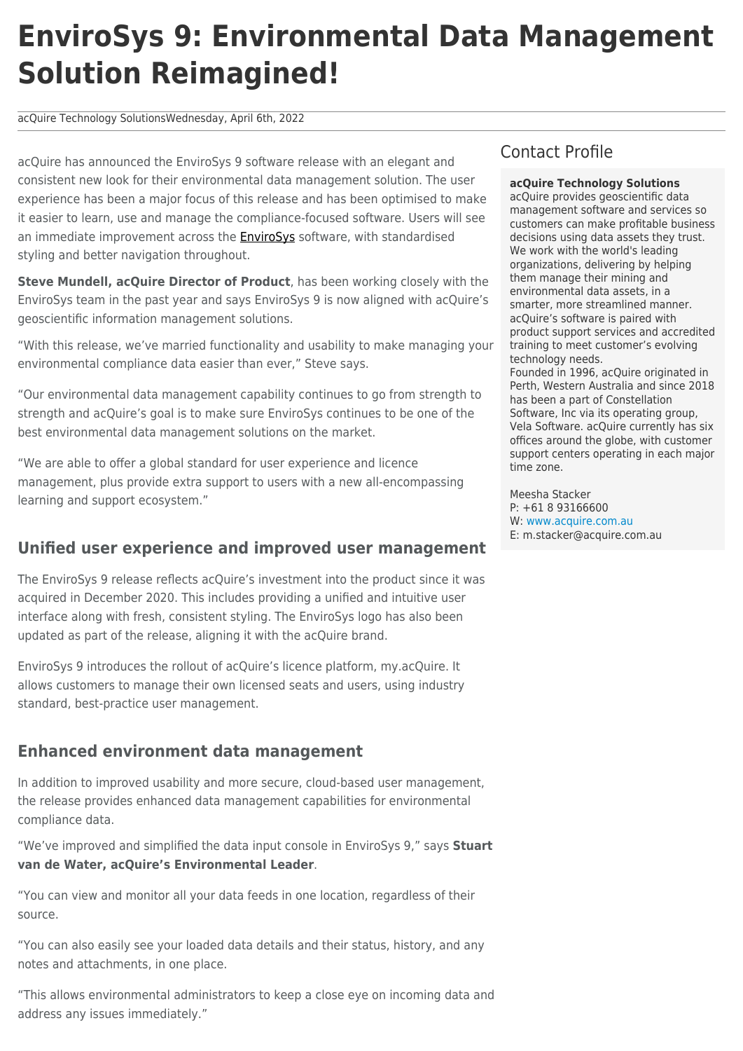# **EnviroSys 9: Environmental Data Management Solution Reimagined!**

acQuire Technology SolutionsWednesday, April 6th, 2022

acQuire has announced the EnviroSys 9 software release with an elegant and consistent new look for their environmental data management solution. The user experience has been a major focus of this release and has been optimised to make it easier to learn, use and manage the compliance-focused software. Users will see an immediate improvement across the **EnviroSys** software, with standardised styling and better navigation throughout.

**Steve Mundell, acQuire Director of Product**, has been working closely with the EnviroSys team in the past year and says EnviroSys 9 is now aligned with acQuire's geoscientific information management solutions.

"With this release, we've married functionality and usability to make managing your environmental compliance data easier than ever," Steve says.

"Our environmental data management capability continues to go from strength to strength and acQuire's goal is to make sure EnviroSys continues to be one of the best environmental data management solutions on the market.

"We are able to offer a global standard for user experience and licence management, plus provide extra support to users with a new all-encompassing learning and support ecosystem."

### **Unified user experience and improved user management**

The EnviroSys 9 release reflects acQuire's investment into the product since it was acquired in December 2020. This includes providing a unified and intuitive user interface along with fresh, consistent styling. The EnviroSys logo has also been updated as part of the release, aligning it with the acQuire brand.

EnviroSys 9 introduces the rollout of acQuire's licence platform, my.acQuire. It allows customers to manage their own licensed seats and users, using industry standard, best-practice user management.

#### **Enhanced environment data management**

In addition to improved usability and more secure, cloud-based user management, the release provides enhanced data management capabilities for environmental compliance data.

"We've improved and simplified the data input console in EnviroSys 9," says **Stuart van de Water, acQuire's Environmental Leader**.

"You can view and monitor all your data feeds in one location, regardless of their source.

"You can also easily see your loaded data details and their status, history, and any notes and attachments, in one place.

"This allows environmental administrators to keep a close eye on incoming data and address any issues immediately."

# Contact Profile

#### **acQuire Technology Solutions**

acQuire provides geoscientific data management software and services so customers can make profitable business decisions using data assets they trust. We work with the world's leading organizations, delivering by helping them manage their mining and environmental data assets, in a smarter, more streamlined manner. acQuire's software is paired with product support services and accredited training to meet customer's evolving technology needs. Founded in 1996, acQuire originated in Perth, Western Australia and since 2018 has been a part of Constellation Software, Inc via its operating group, Vela Software. acQuire currently has six offices around the globe, with customer support centers operating in each major time zone.

Meesha Stacker P: +61 8 93166600 W: [www.acquire.com.au](http://www.acquire.com.au) E: m.stacker@acquire.com.au